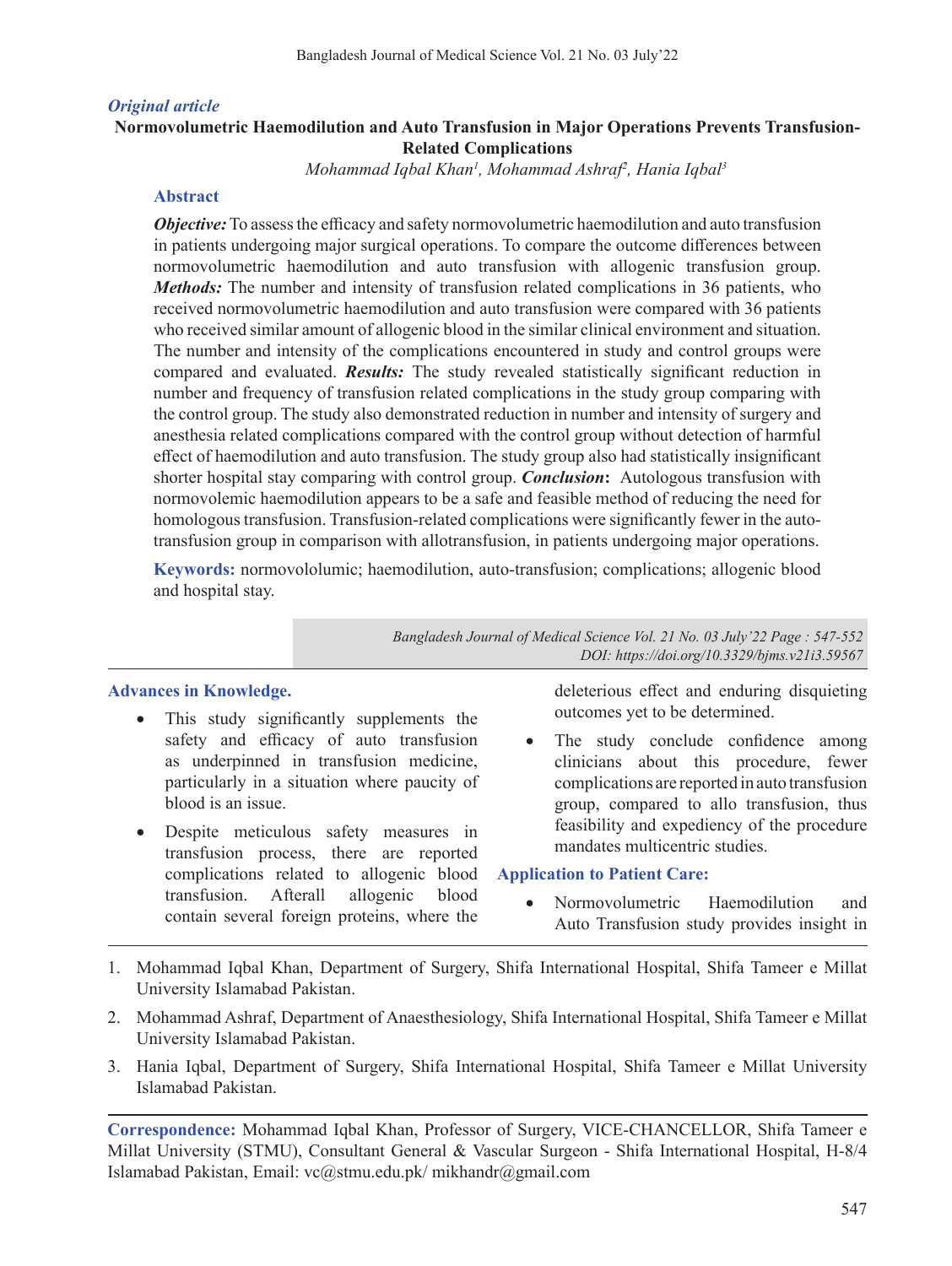### *Original article*

# **Normovolumetric Haemodilution and Auto Transfusion in Major Operations Prevents Transfusion-Related Complications**

*Mohammad Iqbal Khan1 , Mohammad Ashraf2 , Hania Iqbal3*

#### **Abstract**

*Objective:* To assess the efficacy and safety normovolumetric haemodilution and auto transfusion in patients undergoing major surgical operations. To compare the outcome differences between normovolumetric haemodilution and auto transfusion with allogenic transfusion group. *Methods:* The number and intensity of transfusion related complications in 36 patients, who received normovolumetric haemodilution and auto transfusion were compared with 36 patients who received similar amount of allogenic blood in the similar clinical environment and situation. The number and intensity of the complications encountered in study and control groups were compared and evaluated. *Results:* The study revealed statistically significant reduction in number and frequency of transfusion related complications in the study group comparing with the control group. The study also demonstrated reduction in number and intensity of surgery and anesthesia related complications compared with the control group without detection of harmful effect of haemodilution and auto transfusion. The study group also had statistically insignificant shorter hospital stay comparing with control group. *Conclusion***:** Autologous transfusion with normovolemic haemodilution appears to be a safe and feasible method of reducing the need for homologoustransfusion. Transfusion-related complications were significantly fewer in the autotransfusion group in comparison with allotransfusion, in patients undergoing major operations.

**Keywords:** normovololumic; haemodilution, auto-transfusion; complications; allogenic blood and hospital stay.

> *Bangladesh Journal of Medical Science Vol. 21 No. 03 July'22 Page : 547-552 DOI: https://doi.org/10.3329/bjms.v21i3.59567*

### **Advances in Knowledge.**

- This study significantly supplements the safety and efficacy of auto transfusion as underpinned in transfusion medicine, particularly in a situation where paucity of blood is an issue.
- Despite meticulous safety measures in transfusion process, there are reported complications related to allogenic blood transfusion. Afterall allogenic blood contain several foreign proteins, where the

deleterious effect and enduring disquieting outcomes yet to be determined.

• The study conclude confidence among clinicians about this procedure, fewer complications are reported in auto transfusion group, compared to allo transfusion, thus feasibility and expediency of the procedure mandates multicentric studies.

#### **Application to Patient Care:**

- Normovolumetric Haemodilution and Auto Transfusion study provides insight in
- 1. Mohammad Iqbal Khan, Department of Surgery, Shifa International Hospital, Shifa Tameer e Millat University Islamabad Pakistan.
- 2. Mohammad Ashraf, Department of Anaesthesiology, Shifa International Hospital, Shifa Tameer e Millat University Islamabad Pakistan.
- 3. Hania Iqbal, Department of Surgery, Shifa International Hospital, Shifa Tameer e Millat University Islamabad Pakistan.

**Correspondence:** Mohammad Iqbal Khan, Professor of Surgery, VICE-CHANCELLOR, Shifa Tameer e Millat University (STMU), Consultant General & Vascular Surgeon - Shifa International Hospital, H-8/4 Islamabad Pakistan, Email: vc@stmu.edu.pk/ mikhandr@gmail.com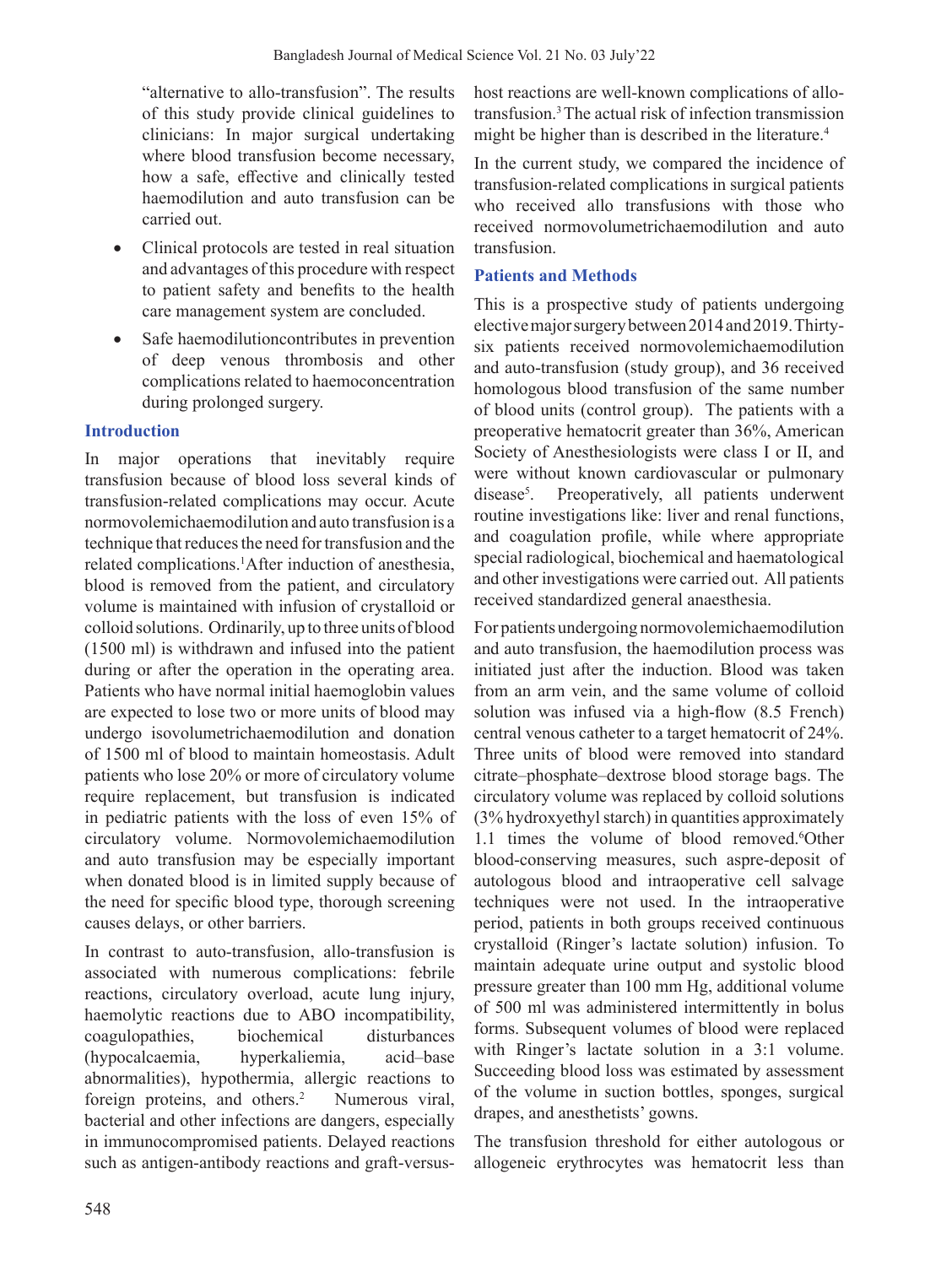"alternative to allo-transfusion". The results of this study provide clinical guidelines to clinicians: In major surgical undertaking where blood transfusion become necessary, how a safe, effective and clinically tested haemodilution and auto transfusion can be carried out.

- Clinical protocols are tested in real situation and advantages of this procedure with respect to patient safety and benefits to the health care management system are concluded.
- Safe haemodilutioncontributes in prevention of deep venous thrombosis and other complications related to haemoconcentration during prolonged surgery.

## **Introduction**

In major operations that inevitably require transfusion because of blood loss several kinds of transfusion-related complications may occur. Acute normovolemichaemodilution and auto transfusion is a technique that reduces the need for transfusion and the related complications.<sup>1</sup>After induction of anesthesia, blood is removed from the patient, and circulatory volume is maintained with infusion of crystalloid or colloid solutions. Ordinarily, up to three units of blood (1500 ml) is withdrawn and infused into the patient during or after the operation in the operating area. Patients who have normal initial haemoglobin values are expected to lose two or more units of blood may undergo isovolumetrichaemodilution and donation of 1500 ml of blood to maintain homeostasis. Adult patients who lose 20% or more of circulatory volume require replacement, but transfusion is indicated in pediatric patients with the loss of even 15% of circulatory volume. Normovolemichaemodilution and auto transfusion may be especially important when donated blood is in limited supply because of the need for specific blood type, thorough screening causes delays, or other barriers.

In contrast to auto-transfusion, allo-transfusion is associated with numerous complications: febrile reactions, circulatory overload, acute lung injury, haemolytic reactions due to ABO incompatibility, coagulopathies, biochemical disturbances (hypocalcaemia, hyperkaliemia, acid–base abnormalities), hypothermia, allergic reactions to foreign proteins, and others.<sup>2</sup> Numerous viral, bacterial and other infections are dangers, especially in immunocompromised patients. Delayed reactions such as antigen-antibody reactions and graft-versushost reactions are well-known complications of allotransfusion.3The actual risk of infection transmission might be higher than is described in the literature.<sup>4</sup>

In the current study, we compared the incidence of transfusion-related complications in surgical patients who received allo transfusions with those who received normovolumetrichaemodilution and auto transfusion.

## **Patients and Methods**

This is a prospective study of patients undergoing electivemajorsurgerybetween2014and2019.Thirtysix patients received normovolemichaemodilution and auto-transfusion (study group), and 36 received homologous blood transfusion of the same number of blood units (control group). The patients with a preoperative hematocrit greater than 36%, American Society of Anesthesiologists were class I or II, and were without known cardiovascular or pulmonary disease<sup>5</sup>. . Preoperatively, all patients underwent routine investigations like: liver and renal functions, and coagulation profile, while where appropriate special radiological, biochemical and haematological and other investigations were carried out. All patients received standardized general anaesthesia.

For patients undergoing normovolemichaemodilution and auto transfusion, the haemodilution process was initiated just after the induction. Blood was taken from an arm vein, and the same volume of colloid solution was infused via a high-flow (8.5 French) central venous catheter to a target hematocrit of 24%. Three units of blood were removed into standard citrate–phosphate–dextrose blood storage bags. The circulatory volume was replaced by colloid solutions (3% hydroxyethyl starch) in quantities approximately 1.1 times the volume of blood removed.<sup>6</sup>Other blood-conserving measures, such aspre-deposit of autologous blood and intraoperative cell salvage techniques were not used. In the intraoperative period, patients in both groups received continuous crystalloid (Ringer's lactate solution) infusion. To maintain adequate urine output and systolic blood pressure greater than 100 mm Hg, additional volume of 500 ml was administered intermittently in bolus forms. Subsequent volumes of blood were replaced with Ringer's lactate solution in a 3:1 volume. Succeeding blood loss was estimated by assessment of the volume in suction bottles, sponges, surgical drapes, and anesthetists' gowns.

The transfusion threshold for either autologous or allogeneic erythrocytes was hematocrit less than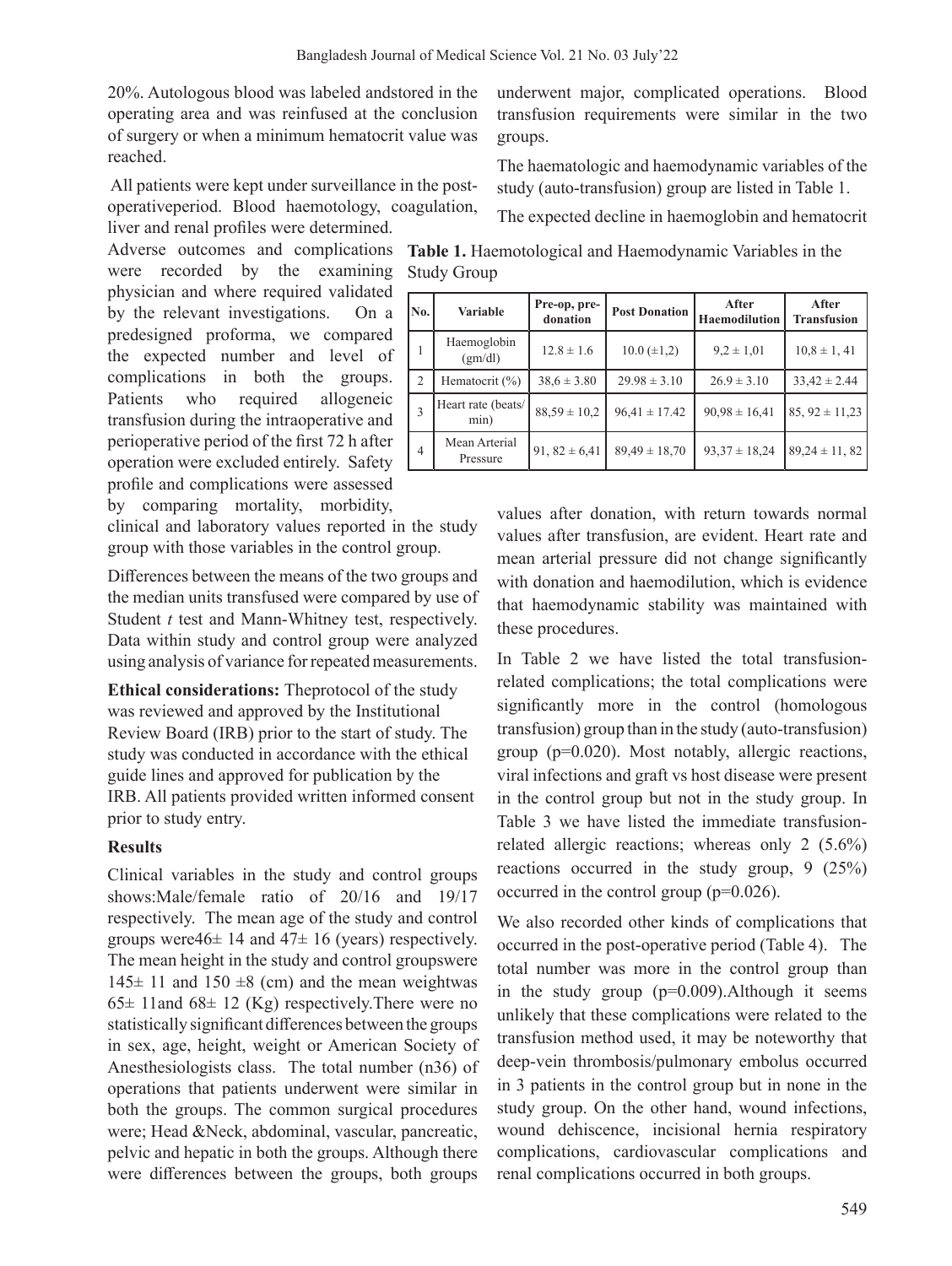20%. Autologous blood was labeled andstored in the operating area and was reinfused at the conclusion of surgery or when a minimum hematocrit value was reached.

All patients were kept under surveillance in the postoperativeperiod. Blood haemotology, coagulation, liver and renal profiles were determined.

were recorded by the examining physician and where required validated by the relevant investigations. On a predesigned proforma, we compared the expected number and level of complications in both the groups. Patients who required allogeneic transfusion during the intraoperative and perioperative period of the first 72 h after operation were excluded entirely. Safety profile and complications were assessed by comparing mortality, morbidity,

clinical and laboratory values reported in the study group with those variables in the control group.

Differences between the means of the two groups and the median units transfused were compared by use of Student *t* test and Mann-Whitney test, respectively. Data within study and control group were analyzed using analysis of variance for repeated measurements.

**Ethical considerations:** Theprotocol of the study was reviewed and approved by the Institutional Review Board (IRB) prior to the start of study. The study was conducted in accordance with the ethical guide lines and approved for publication by the IRB. All patients provided written informed consent prior to study entry.

### **Results**

Clinical variables in the study and control groups shows:Male/female ratio of 20/16 and 19/17 respectively. The mean age of the study and control groups were  $46 \pm 14$  and  $47 \pm 16$  (years) respectively. The mean height in the study and control groupswere  $145± 11$  and  $150±8$  (cm) and the mean weightwas  $65\pm 11$  and  $68\pm 12$  (Kg) respectively. There were no statistically significant differences between the groups in sex, age, height, weight or American Society of Anesthesiologists class. The total number (n36) of operations that patients underwent were similar in both the groups. The common surgical procedures were; Head &Neck, abdominal, vascular, pancreatic, pelvic and hepatic in both the groups. Although there were differences between the groups, both groups

underwent major, complicated operations. Blood transfusion requirements were similar in the two groups.

The haematologic and haemodynamic variables of the study (auto-transfusion) group are listed in Table 1.

The expected decline in haemoglobin and hematocrit

Adverse outcomes and complications **Table 1.** Haemotological and Haemodynamic Variables in the Study Group

| No.            | <b>Variable</b>            | Pre-op, pre-<br>donation | <b>Post Donation</b> | After<br><b>Haemodilution</b> | After<br><b>Transfusion</b> |
|----------------|----------------------------|--------------------------|----------------------|-------------------------------|-----------------------------|
|                | Haemoglobin<br>(gm/dl)     | $12.8 \pm 1.6$           | $10.0 (\pm 1,2)$     | $9.2 \pm 1.01$                | $10.8 \pm 1, 41$            |
| 2              | Hematocrit (%)             | $38.6 \pm 3.80$          | $29.98 \pm 3.10$     | $26.9 \pm 3.10$               | $33,42 \pm 2.44$            |
|                | Heart rate (beats/<br>min) | $88,59 \pm 10,2$         | $96,41 \pm 17.42$    | $90,98 \pm 16,41$             | $85, 92 \pm 11,23$          |
| $\overline{4}$ | Mean Arterial<br>Pressure  | 91, $82 \pm 6,41$        | $89,49 \pm 18,70$    | $93.37 \pm 18.24$             | $89,24 \pm 11,82$           |

values after donation, with return towards normal values after transfusion, are evident. Heart rate and mean arterial pressure did not change significantly with donation and haemodilution, which is evidence that haemodynamic stability was maintained with these procedures.

In Table 2 we have listed the total transfusionrelated complications; the total complications were significantly more in the control (homologous transfusion) group than in the study (auto-transfusion) group (p=0.020). Most notably, allergic reactions, viral infections and graft vs host disease were present in the control group but not in the study group. In Table 3 we have listed the immediate transfusionrelated allergic reactions; whereas only 2 (5.6%) reactions occurred in the study group, 9 (25%) occurred in the control group (p=0.026).

We also recorded other kinds of complications that occurred in the post-operative period (Table 4). The total number was more in the control group than in the study group (p=0.009).Although it seems unlikely that these complications were related to the transfusion method used, it may be noteworthy that deep-vein thrombosis/pulmonary embolus occurred in 3 patients in the control group but in none in the study group. On the other hand, wound infections, wound dehiscence, incisional hernia respiratory complications, cardiovascular complications and renal complications occurred in both groups.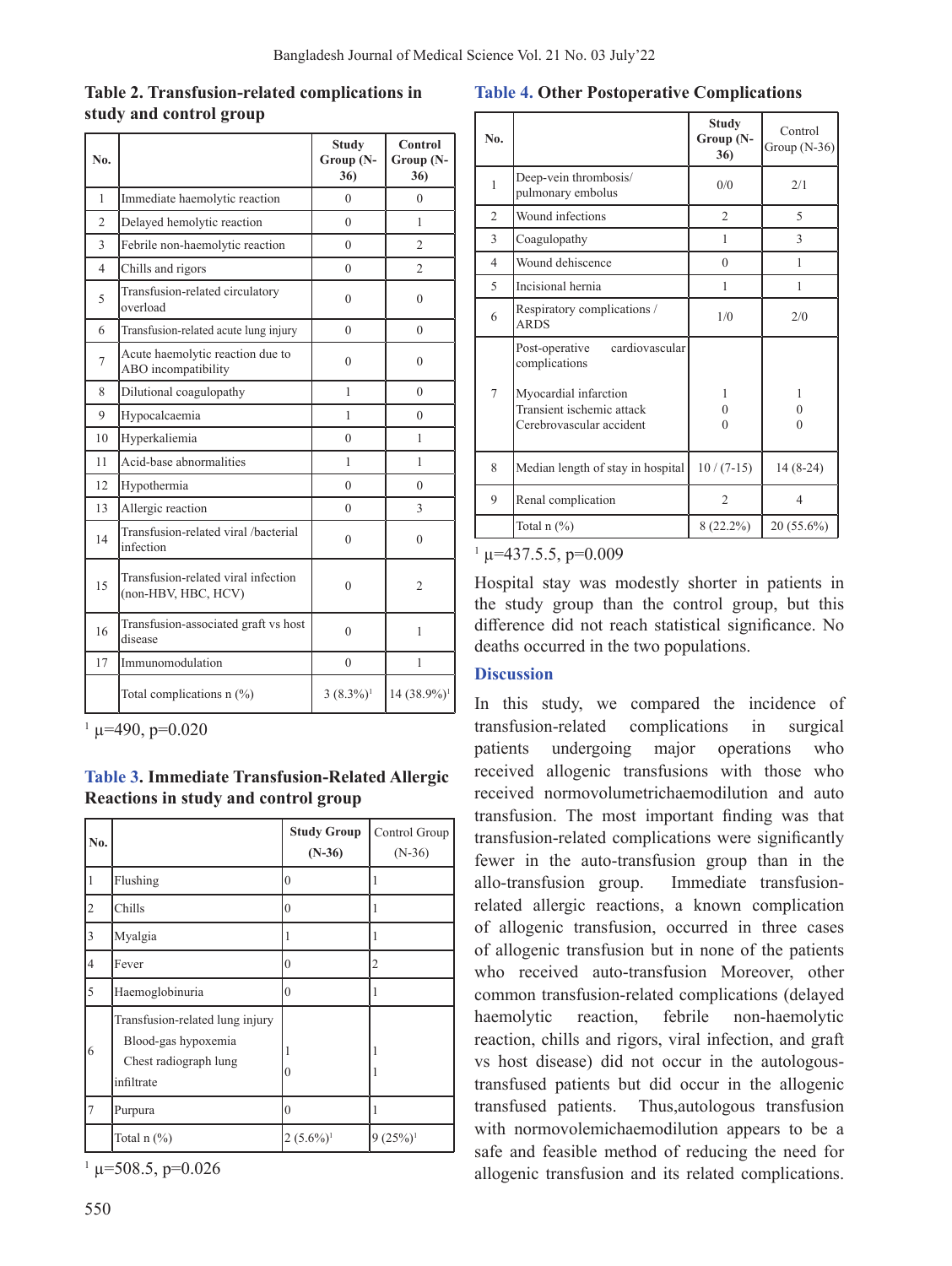## **Table 2. Transfusion-related complications in study and control group**

| N <sub>0</sub> . |                                                            | <b>Study</b><br>Group (N-<br>36) | Control<br>Group (N-<br>36) |
|------------------|------------------------------------------------------------|----------------------------------|-----------------------------|
| 1                | Immediate haemolytic reaction                              | $\Omega$                         | $\Omega$                    |
| $\overline{2}$   | Delayed hemolytic reaction                                 | $\theta$                         | 1                           |
| 3                | Febrile non-haemolytic reaction                            | $\theta$                         | $\mathfrak{D}$              |
| 4                | Chills and rigors                                          | $\theta$                         | $\overline{2}$              |
| 5                | Transfusion-related circulatory<br>overload                | $\Omega$                         | $\theta$                    |
| 6                | Transfusion-related acute lung injury                      | $\theta$                         | $\theta$                    |
| 7                | Acute haemolytic reaction due to<br>ABO incompatibility    | $\theta$                         | 0                           |
| 8                | Dilutional coagulopathy                                    | 1                                | $\theta$                    |
| 9                | Hypocalcaemia                                              | 1                                | $\Omega$                    |
| 10               | Hyperkaliemia                                              | $\theta$                         | $\mathbf{1}$                |
| 11               | Acid-base abnormalities                                    | 1                                | 1                           |
| 12               | Hypothermia                                                | $\theta$                         | $\Omega$                    |
| 13               | Allergic reaction                                          | $\theta$                         | 3                           |
| 14               | Transfusion-related viral /bacterial<br>infection          | $\theta$                         | $\theta$                    |
| 15               | Transfusion-related viral infection<br>(non-HBV, HBC, HCV) | $\theta$                         | $\overline{c}$              |
| 16               | Transfusion-associated graft vs host<br>disease            | $\theta$                         | 1                           |
| 17               | Immunomodulation                                           | $\theta$                         | 1                           |
|                  | Total complications $n$ (%)                                | $3(8.3\%)$ <sup>1</sup>          | 14 (38.9%) <sup>1</sup>     |

 $\mu$  =490, p=0.020

**Table 3. Immediate Transfusion-Related Allergic Reactions in study and control group** 

| No.            |                                                                                               | <b>Study Group</b><br>$(N-36)$ | Control Group<br>$(N-36)$ |
|----------------|-----------------------------------------------------------------------------------------------|--------------------------------|---------------------------|
| 1              | Flushing                                                                                      | $\mathbf{0}$                   | 1                         |
| 2              | Chills                                                                                        | $\boldsymbol{0}$               | 1                         |
| 3              | Myalgia                                                                                       |                                | 1                         |
| $\overline{4}$ | Fever                                                                                         | $\theta$                       | $\overline{2}$            |
| 5              | Haemoglobinuria                                                                               | $\theta$                       | 1                         |
| 6              | Transfusion-related lung injury<br>Blood-gas hypoxemia<br>Chest radiograph lung<br>infiltrate | 0                              |                           |
| 7              | Purpura                                                                                       | 0                              | 1                         |
|                | Total $n$ $(\%)$                                                                              | $2(5.6\%)$ <sup>1</sup>        | $9(25%)$ <sup>1</sup>     |

 $\mu$  = 508.5, p=0.026

#### **Table 4. Other Postoperative Complications**

| No. |                                                                                | Study<br>Group (N-<br>36) | Control<br>Group $(N-36)$ |
|-----|--------------------------------------------------------------------------------|---------------------------|---------------------------|
| 1   | Deep-vein thrombosis/<br>pulmonary embolus                                     | 0/0                       | 2/1                       |
| 2   | Wound infections                                                               | $\overline{c}$            | 5                         |
| 3   | Coagulopathy                                                                   | 1                         | 3                         |
| 4   | Wound dehiscence                                                               | $\theta$                  | 1                         |
| 5   | Incisional hernia                                                              | 1                         | 1                         |
| 6   | Respiratory complications /<br><b>ARDS</b>                                     | 1/0                       | 2/0                       |
|     | cardiovascular<br>Post-operative<br>complications                              |                           |                           |
| 7   | Myocardial infarction<br>Transient ischemic attack<br>Cerebrovascular accident | 1<br>0<br>0               | 1<br>0<br>$\theta$        |
| 8   | Median length of stay in hospital                                              | $10/(7-15)$               | $14(8-24)$                |
| 9   | Renal complication                                                             | $\overline{c}$            | 4                         |
|     | Total $n$ $(\%)$                                                               | $8(22.2\%)$               | 20 (55.6%)                |

 $\mu$  =437.5.5, p=0.009

Hospital stay was modestly shorter in patients in the study group than the control group, but this difference did not reach statistical significance. No deaths occurred in the two populations.

### **Discussion**

In this study, we compared the incidence of transfusion-related complications in surgical patients undergoing major operations who received allogenic transfusions with those who received normovolumetrichaemodilution and auto transfusion. The most important finding was that transfusion-related complications were significantly fewer in the auto-transfusion group than in the allo-transfusion group. Immediate transfusionrelated allergic reactions, a known complication of allogenic transfusion, occurred in three cases of allogenic transfusion but in none of the patients who received auto-transfusion Moreover, other common transfusion-related complications (delayed haemolytic reaction, febrile non-haemolytic reaction, chills and rigors, viral infection, and graft vs host disease) did not occur in the autologoustransfused patients but did occur in the allogenic transfused patients. Thus,autologous transfusion with normovolemichaemodilution appears to be a safe and feasible method of reducing the need for allogenic transfusion and its related complications.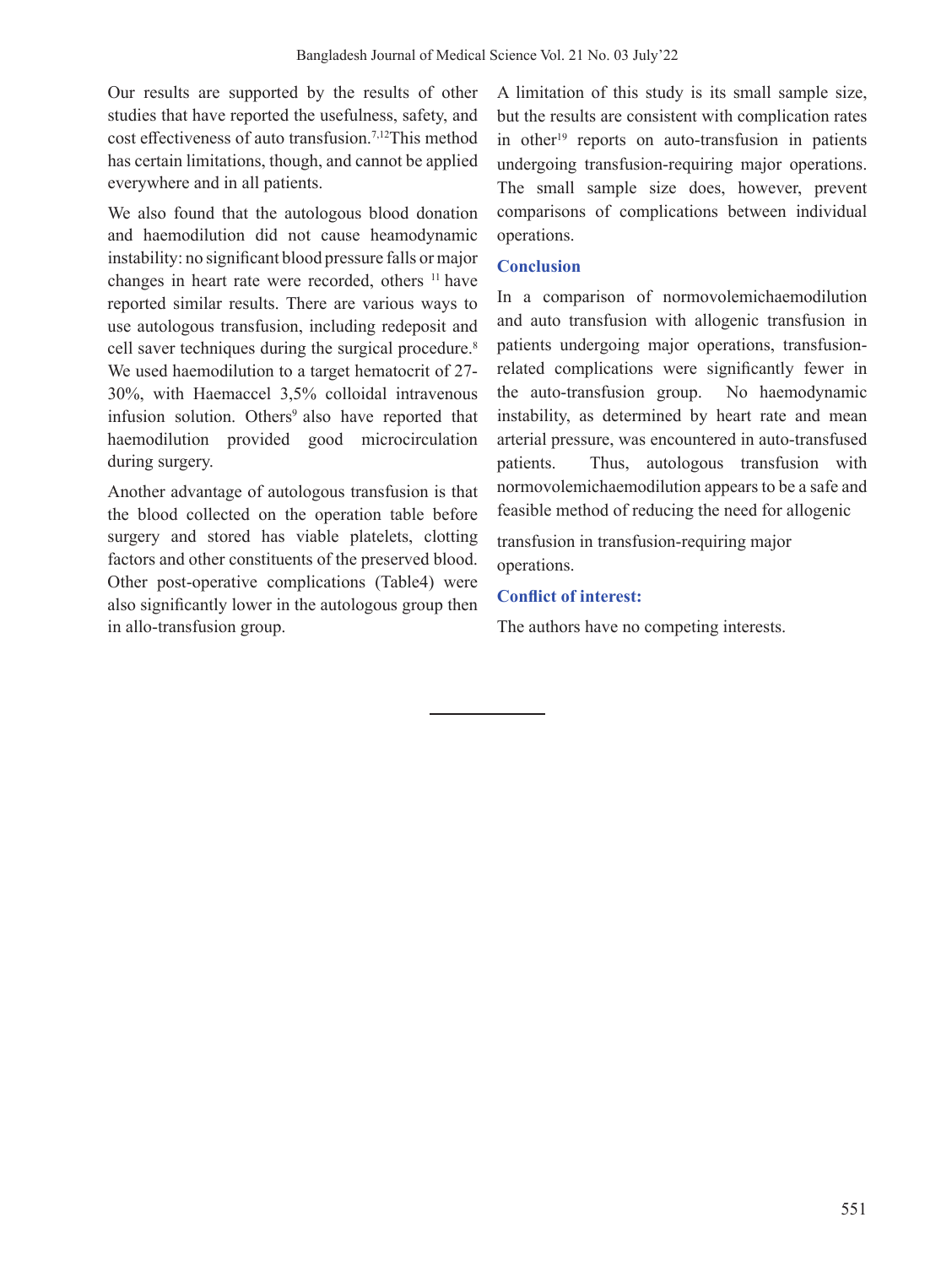Our results are supported by the results of other studies that have reported the usefulness, safety, and cost effectiveness of auto transfusion.7,12This method has certain limitations, though, and cannot be applied everywhere and in all patients.

We also found that the autologous blood donation and haemodilution did not cause heamodynamic instability: no significant blood pressure falls or major changes in heart rate were recorded, others <sup>11</sup> have reported similar results. There are various ways to use autologous transfusion, including redeposit and cell saver techniques during the surgical procedure.<sup>8</sup> We used haemodilution to a target hematocrit of 27- 30%, with Haemaccel 3,5% colloidal intravenous infusion solution. Others<sup>9</sup> also have reported that haemodilution provided good microcirculation during surgery.

Another advantage of autologous transfusion is that the blood collected on the operation table before surgery and stored has viable platelets, clotting factors and other constituents of the preserved blood. Other post-operative complications (Table4) were also significantly lower in the autologous group then in allo-transfusion group.

A limitation of this study is its small sample size, but the results are consistent with complication rates in other<sup>19</sup> reports on auto-transfusion in patients undergoing transfusion-requiring major operations. The small sample size does, however, prevent comparisons of complications between individual operations.

### **Conclusion**

In a comparison of normovolemichaemodilution and auto transfusion with allogenic transfusion in patients undergoing major operations, transfusionrelated complications were significantly fewer in the auto-transfusion group. No haemodynamic instability, as determined by heart rate and mean arterial pressure, was encountered in auto-transfused patients. Thus, autologous transfusion with normovolemichaemodilution appears to be a safe and feasible method of reducing the need for allogenic

transfusion in transfusion-requiring major operations.

## **Conflict of interest:**

The authors have no competing interests.